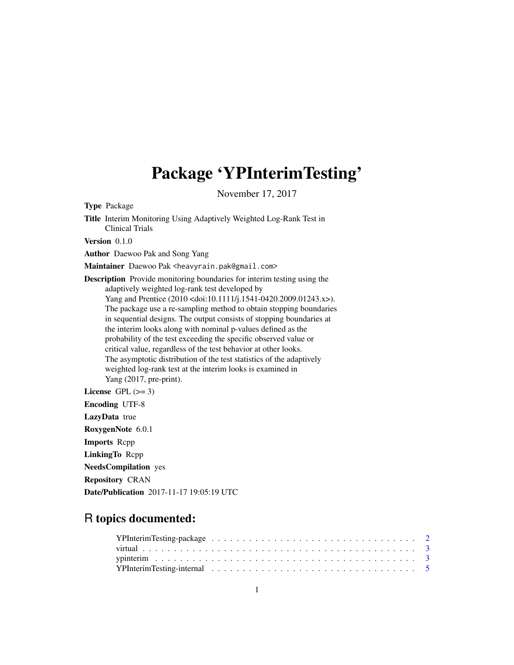# Package 'YPInterimTesting'

November 17, 2017

<span id="page-0-0"></span>Type Package

Title Interim Monitoring Using Adaptively Weighted Log-Rank Test in Clinical Trials Version 0.1.0 Author Daewoo Pak and Song Yang Maintainer Daewoo Pak <heavyrain.pak@gmail.com> Description Provide monitoring boundaries for interim testing using the adaptively weighted log-rank test developed by Yang and Prentice (2010 <doi:10.1111/j.1541-0420.2009.01243.x>). The package use a re-sampling method to obtain stopping boundaries in sequential designs. The output consists of stopping boundaries at the interim looks along with nominal p-values defined as the probability of the test exceeding the specific observed value or critical value, regardless of the test behavior at other looks. The asymptotic distribution of the test statistics of the adaptively weighted log-rank test at the interim looks is examined in Yang (2017, pre-print). License GPL  $(>= 3)$ Encoding UTF-8 LazyData true RoxygenNote 6.0.1 Imports Rcpp LinkingTo Rcpp NeedsCompilation yes Repository CRAN

Date/Publication 2017-11-17 19:05:19 UTC

## R topics documented: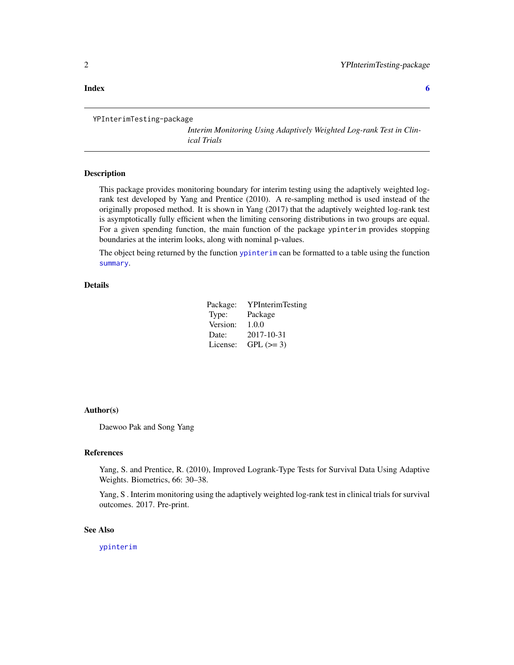#### <span id="page-1-0"></span>**Index** [6](#page-5-0) **6**

```
YPInterimTesting-package
```
*Interim Monitoring Using Adaptively Weighted Log-rank Test in Clinical Trials*

#### Description

This package provides monitoring boundary for interim testing using the adaptively weighted logrank test developed by Yang and Prentice (2010). A re-sampling method is used instead of the originally proposed method. It is shown in Yang (2017) that the adaptively weighted log-rank test is asymptotically fully efficient when the limiting censoring distributions in two groups are equal. For a given spending function, the main function of the package ypinterim provides stopping boundaries at the interim looks, along with nominal p-values.

The object being returned by the function [ypinterim](#page-2-1) can be formatted to a table using the function [summary](#page-0-0).

#### Details

| Package: | <b>YPInterimTesting</b> |
|----------|-------------------------|
| Type:    | Package                 |
| Version: | 1.0.0                   |
| Date:    | 2017-10-31              |
| License: | $GPL (=3)$              |

#### Author(s)

Daewoo Pak and Song Yang

#### References

Yang, S. and Prentice, R. (2010), Improved Logrank-Type Tests for Survival Data Using Adaptive Weights. Biometrics, 66: 30–38.

Yang, S . Interim monitoring using the adaptively weighted log-rank test in clinical trials for survival outcomes. 2017. Pre-print.

#### See Also

[ypinterim](#page-2-1)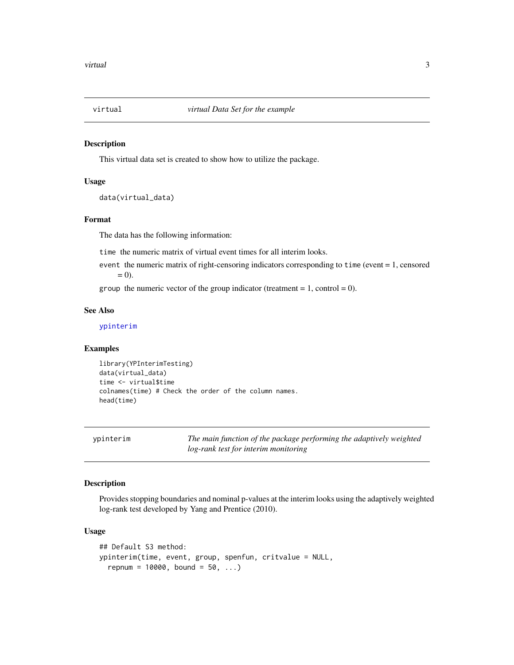<span id="page-2-0"></span>

#### Description

This virtual data set is created to show how to utilize the package.

#### Usage

data(virtual\_data)

#### Format

The data has the following information:

time the numeric matrix of virtual event times for all interim looks.

event the numeric matrix of right-censoring indicators corresponding to time (event = 1, censored  $= 0$ ).

group the numeric vector of the group indicator (treatment  $= 1$ , control  $= 0$ ).

#### See Also

[ypinterim](#page-2-1)

#### Examples

library(YPInterimTesting) data(virtual\_data) time <- virtual\$time colnames(time) # Check the order of the column names. head(time)

<span id="page-2-1"></span>ypinterim *The main function of the package performing the adaptively weighted log-rank test for interim monitoring*

#### Description

Provides stopping boundaries and nominal p-values at the interim looks using the adaptively weighted log-rank test developed by Yang and Prentice (2010).

#### Usage

```
## Default S3 method:
ypinterim(time, event, group, spenfun, critvalue = NULL,
  repnum = 10000, bound = 50, ...
```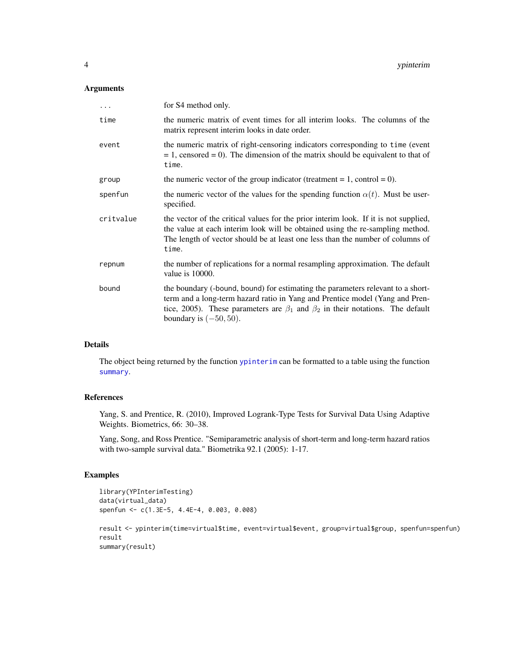#### <span id="page-3-0"></span>Arguments

| .         | for S4 method only.                                                                                                                                                                                                                                                                       |
|-----------|-------------------------------------------------------------------------------------------------------------------------------------------------------------------------------------------------------------------------------------------------------------------------------------------|
| time      | the numeric matrix of event times for all interim looks. The columns of the<br>matrix represent interim looks in date order.                                                                                                                                                              |
| event     | the numeric matrix of right-censoring indicators corresponding to time (event<br>$= 1$ , censored $= 0$ ). The dimension of the matrix should be equivalent to that of<br>time.                                                                                                           |
| group     | the numeric vector of the group indicator (treatment = $1$ , control = 0).                                                                                                                                                                                                                |
| spenfun   | the numeric vector of the values for the spending function $\alpha(t)$ . Must be user-<br>specified.                                                                                                                                                                                      |
| critvalue | the vector of the critical values for the prior interim look. If it is not supplied,<br>the value at each interim look will be obtained using the re-sampling method.<br>The length of vector should be at least one less than the number of columns of<br>time.                          |
| repnum    | the number of replications for a normal resampling approximation. The default<br>value is 10000.                                                                                                                                                                                          |
| bound     | the boundary (-bound, bound) for estimating the parameters relevant to a short-<br>term and a long-term hazard ratio in Yang and Prentice model (Yang and Pren-<br>tice, 2005). These parameters are $\beta_1$ and $\beta_2$ in their notations. The default<br>boundary is $(-50, 50)$ . |

#### Details

The object being returned by the function [ypinterim](#page-2-1) can be formatted to a table using the function [summary](#page-0-0).

#### References

Yang, S. and Prentice, R. (2010), Improved Logrank-Type Tests for Survival Data Using Adaptive Weights. Biometrics, 66: 30–38.

Yang, Song, and Ross Prentice. "Semiparametric analysis of short-term and long-term hazard ratios with two-sample survival data." Biometrika 92.1 (2005): 1-17.

### Examples

```
library(YPInterimTesting)
data(virtual_data)
spenfun <- c(1.3E-5, 4.4E-4, 0.003, 0.008)
```

```
result <- ypinterim(time=virtual$time, event=virtual$event, group=virtual$group, spenfun=spenfun)
result
summary(result)
```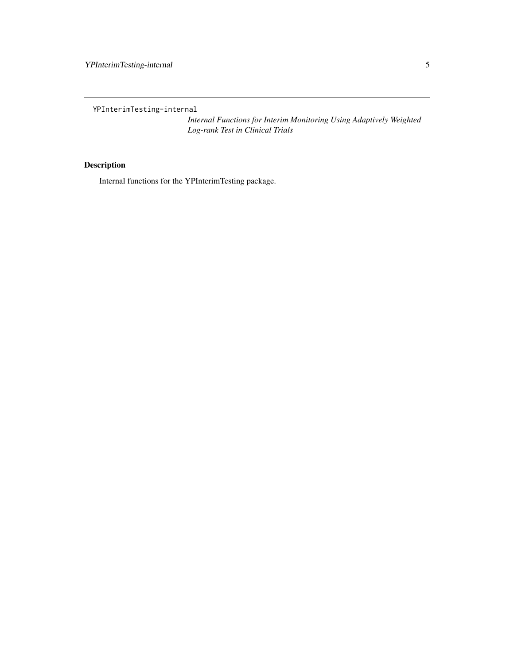<span id="page-4-0"></span>YPInterimTesting-internal

*Internal Functions for Interim Monitoring Using Adaptively Weighted Log-rank Test in Clinical Trials*

### Description

Internal functions for the YPInterimTesting package.